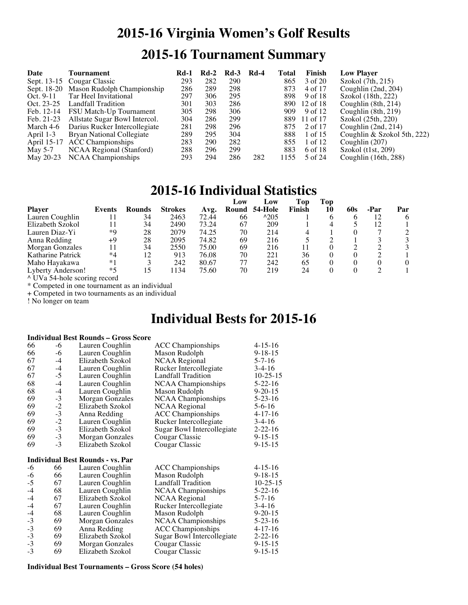# **2015-16 Virginia Women's Golf Results 2015-16 Tournament Summary**

| Date       | Tournament                             | Rd-1 | Rd-2 | $Rd-3$ | <b>Rd-4</b> | Total | <b>Finish</b> | <b>Low Player</b>           |
|------------|----------------------------------------|------|------|--------|-------------|-------|---------------|-----------------------------|
|            | Sept. 13-15 Cougar Classic             | 293  | 282  | 290    |             | 865   | 3 of 20       | Szokol (7th, 215)           |
|            | Sept. 18-20 Mason Rudolph Championship | 286  | 289  | 298    |             | 873   | 4 of 17       | Coughlin $(2nd, 204)$       |
| Oct. 9-11  | Tar Heel Invitational                  | 297  | 306  | 295    |             | 898   | 9 of 18       | Szokol (18th, 222)          |
| Oct. 23-25 | Landfall Tradition                     | 301  | 303  | 286    |             | 890   | $12$ of $18$  | Coughlin $(8th, 214)$       |
| Feb. 12-14 | FSU Match-Up Tournament                | 305  | 298  | 306    |             | 909   | 9 of 12       | Coughlin (8th, 219)         |
| Feb. 21-23 | Allstate Sugar Bowl Intercol.          | 304  | 286  | 299    |             | 889   | 11 of 17      | Szokol (25th, 220)          |
| March 4-6  | Darius Rucker Intercollegiate          | 281  | 298  | 296    |             | 875   | 2 of 17       | Coughlin $(2nd, 214)$       |
| April 1-3  | Bryan National Collegiate              | 289  | 295  | 304    |             | 888   | 1 of 15       | Coughlin & Szokol 5th, 222) |
|            | April 15-17 ACC Championships          | 283  | 290  | 282    |             | 855   | 1 of 12       | Coughlin $(207)$            |
| May 5-7    | NCAA Regional (Stanford)               | 288  | 296  | 299    |             | 883   | 6 of 18       | Szokol (t1st, 209)          |
| May 20-23  | <b>NCAA Championships</b>              | 293  | 294  | 286    | 282         | 1155  | 5 of 24       | Coughlin $(16th, 288)$      |

### **2015-16 Individual Statistics**

|                   |        |        |                |       | Low   | Low           | Top    | Top |     |      |     |
|-------------------|--------|--------|----------------|-------|-------|---------------|--------|-----|-----|------|-----|
| <b>Player</b>     | Events | Rounds | <b>Strokes</b> | Avg.  | Round | 54-Hole       | Finish | 10  | 60s | -Par | Par |
| Lauren Coughlin   |        | 34     | 2463           | 72.44 | 66    | $^{\land}205$ |        |     |     | 12   |     |
| Elizabeth Szokol  |        | 34     | 2490           | 73.24 | 67    | 209           |        |     |     | 12   |     |
| Lauren Diaz-Yi    | $*$ Q  | 28     | 2079           | 74.25 | 70    | 214           |        |     |     |      |     |
| Anna Redding      | +9     | 28     | 2095           | 74.82 | 69    | 216           |        |     |     |      |     |
| Morgan Gonzales   |        | 34     | 2550           | 75.00 | 69    | 216           |        |     |     |      |     |
| Katharine Patrick | $*4$   | 12     | 913            | 76.08 | 70    | 221           | 36     |     |     |      |     |
| Maho Hayakawa     | $*1$   |        | 242            | 80.67 | 77    | 242           | 65     |     |     | 0    |     |
| Lyberty Anderson! | $*5$   |        | 1134           | 75.60 | 70    | 219           | 24     |     |     |      |     |

^ UVa 54-hole scoring record

\* Competed in one tournament as an individual

+ Competed in two tournaments as an individual

! No longer on team

## **Individual Bests for 2015-16**

#### **Individual Best Rounds – Gross Score**

| 66           | -6       | Lauren Coughlin                         | <b>ACC Championships</b>   | $4 - 15 - 16$ |
|--------------|----------|-----------------------------------------|----------------------------|---------------|
| 66           | $-6$     | Lauren Coughlin                         | Mason Rudolph              | $9 - 18 - 15$ |
| 67           | $-4$     | Elizabeth Szokol                        | <b>NCAA Regional</b>       | $5 - 7 - 16$  |
| 67           | $-4$     | Lauren Coughlin                         | Rucker Intercollegiate     | $3-4-16$      |
| 67           | $-5$     | Lauren Coughlin                         | <b>Landfall Tradition</b>  | $10-25-15$    |
| 68           | $-4$     | Lauren Coughlin                         | <b>NCAA Championships</b>  | $5 - 22 - 16$ |
| 68           | $-4$     | Lauren Coughlin                         | Mason Rudolph              | $9 - 20 - 15$ |
| 69           | $-3$     | Morgan Gonzales                         | <b>NCAA Championships</b>  | $5 - 23 - 16$ |
| 69           | $-2$     | Elizabeth Szokol                        | <b>NCAA Regional</b>       | $5 - 6 - 16$  |
| 69           | $-3$     | Anna Redding                            | <b>ACC</b> Championships   | $4 - 17 - 16$ |
| 69           | $-2$     | Lauren Coughlin                         | Rucker Intercollegiate     | $3-4-16$      |
| 69           | $-3$     | Elizabeth Szokol                        | Sugar Bowl Intercollegiate | $2 - 22 - 16$ |
| 69           | $-3$     | Morgan Gonzales                         | Cougar Classic             | $9 - 15 - 15$ |
| 69           | $-3$     | Elizabeth Szokol                        | Cougar Classic             | $9 - 15 - 15$ |
|              |          |                                         |                            |               |
|              |          |                                         |                            |               |
|              |          | <b>Individual Best Rounds - vs. Par</b> |                            |               |
| $-6$         | 66       | Lauren Coughlin                         | <b>ACC</b> Championships   | $4 - 15 - 16$ |
| -6           | 66       | Lauren Coughlin                         | Mason Rudolph              | $9 - 18 - 15$ |
| $-5$         | 67       | Lauren Coughlin                         | <b>Landfall Tradition</b>  | $10-25-15$    |
| $-4$         | 68       | Lauren Coughlin                         | <b>NCAA Championships</b>  | $5-22-16$     |
| $-4$         | 67       | Elizabeth Szokol                        | <b>NCAA Regional</b>       | $5 - 7 - 16$  |
| $-4$         | 67       | Lauren Coughlin                         | Rucker Intercollegiate     | $3-4-16$      |
| $-4$         | 68       | Lauren Coughlin                         | Mason Rudolph              | $9 - 20 - 15$ |
| $-3$         | 69       | Morgan Gonzales                         | <b>NCAA Championships</b>  | $5 - 23 - 16$ |
| $-3$         | 69       | Anna Redding                            | <b>ACC</b> Championships   | $4 - 17 - 16$ |
| $-3$         | 69       | Elizabeth Szokol                        | Sugar Bowl Intercollegiate | $2 - 22 - 16$ |
| $-3$<br>$-3$ | 69<br>69 | Morgan Gonzales                         | Cougar Classic             | $9 - 15 - 15$ |

#### **Individual Best Tournaments – Gross Score (54 holes)**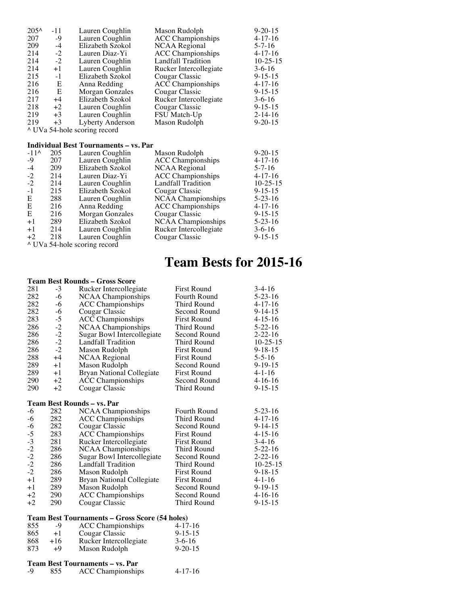| $205^{\circ}$ | $-11$ | Lauren Coughlin                              | Mason Rudolph             | $9 - 20 - 15$  |
|---------------|-------|----------------------------------------------|---------------------------|----------------|
| 207           | -9    | Lauren Coughlin                              | <b>ACC</b> Championships  | $4-17-16$      |
| 209           | $-4$  | Elizabeth Szokol                             | <b>NCAA</b> Regional      | $5 - 7 - 16$   |
| 214           | $-2$  | Lauren Diaz-Yi                               | <b>ACC</b> Championships  | $4 - 17 - 16$  |
| 214           | $-2$  | Lauren Coughlin                              | <b>Landfall Tradition</b> | $10 - 25 - 15$ |
| 214           | $+1$  | Lauren Coughlin                              | Rucker Intercollegiate    | $3-6-16$       |
| 215           | $-1$  | Elizabeth Szokol                             | Cougar Classic            | $9 - 15 - 15$  |
| 216           | Е     | Anna Redding                                 | <b>ACC</b> Championships  | $4-17-16$      |
| 216           | E     | Morgan Gonzales                              | Cougar Classic            | $9 - 15 - 15$  |
| 217           | $+4$  | Elizabeth Szokol                             | Rucker Intercollegiate    | $3-6-16$       |
| 218           | $+2$  | Lauren Coughlin                              | Cougar Classic            | $9 - 15 - 15$  |
| 219           | $+3$  | Lauren Coughlin                              | FSU Match-Up              | $2 - 14 - 16$  |
| 219           | $+3$  | Lyberty Anderson                             | Mason Rudolph             | $9 - 20 - 15$  |
|               |       | ^ UVa 54-hole scoring record                 |                           |                |
|               |       |                                              |                           |                |
|               |       | <b>Individual Best Tournaments – vs. Par</b> |                           |                |
| $-11^$        | 205   | Lauren Coughlin                              | Mason Rudolph             | $9 - 20 - 15$  |

| $-11^$ | 205 | Lauren Coughlin  | Mason Rudolph             | $9 - 20 - 15$  |
|--------|-----|------------------|---------------------------|----------------|
| $-9$   | 207 | Lauren Coughlin  | <b>ACC</b> Championships  | $4 - 17 - 16$  |
| $-4$   | 209 | Elizabeth Szokol | NCAA Regional             | $5 - 7 - 16$   |
| $-2$   | 214 | Lauren Diaz-Yi   | <b>ACC</b> Championships  | $4 - 17 - 16$  |
| $-2$   | 214 | Lauren Coughlin  | Landfall Tradition        | $10 - 25 - 15$ |
| $-1$   | 215 | Elizabeth Szokol | Cougar Classic            | $9 - 15 - 15$  |
| E      | 288 | Lauren Coughlin  | <b>NCAA</b> Championships | $5 - 23 - 16$  |
| E      | 216 | Anna Redding     | <b>ACC</b> Championships  | $4 - 17 - 16$  |
| E      | 216 | Morgan Gonzales  | Cougar Classic            | $9 - 15 - 15$  |
| $+1$   | 289 | Elizabeth Szokol | <b>NCAA Championships</b> | $5 - 23 - 16$  |
| $+1$   | 214 | Lauren Coughlin  | Rucker Intercollegiate    | $3-6-16$       |
| $+2$   | 218 | Lauren Coughlin  | Cougar Classic            | $9 - 15 - 15$  |
|        |     |                  |                           |                |

^ UVa 54-hole scoring record

## **Team Bests for 2015-16**

|                      |                                        | Team Best Rounds – Gross Score                 |                    |                |
|----------------------|----------------------------------------|------------------------------------------------|--------------------|----------------|
| 281                  | $-3$                                   | Rucker Intercollegiate                         | <b>First Round</b> | $3-4-16$       |
| 282                  | $-6$                                   | <b>NCAA Championships</b>                      | Fourth Round       | $5 - 23 - 16$  |
| 282                  | -6                                     | <b>ACC</b> Championships                       | Third Round        | $4 - 17 - 16$  |
| 282                  | -6                                     | Cougar Classic                                 | Second Round       | $9-14-15$      |
| 283                  | $-5$                                   | <b>ACC Championships</b>                       | <b>First Round</b> | $4 - 15 - 16$  |
| 286                  | $-2$                                   | <b>NCAA Championships</b>                      | Third Round        | $5-22-16$      |
| 286                  | $-2$                                   | Sugar Bowl Intercollegiate                     | Second Round       | $2 - 22 - 16$  |
| 286                  | $-2$                                   | Landfall Tradition                             | Third Round        | $10 - 25 - 15$ |
| 286                  | $-2$                                   | Mason Rudolph                                  | <b>First Round</b> | $9 - 18 - 15$  |
| 288                  | $+4$                                   | NCAA Regional                                  | <b>First Round</b> | $5 - 5 - 16$   |
| 289                  | $+1$                                   | Mason Rudolph                                  | Second Round       | $9-19-15$      |
| 289                  | $+1$                                   | <b>Bryan National Collegiate</b>               | <b>First Round</b> | $4 - 1 - 16$   |
| 290                  | $+2$                                   | <b>ACC</b> Championships                       | Second Round       | $4-16-16$      |
| 290                  | $+2$                                   | Cougar Classic                                 | Third Round        | $9 - 15 - 15$  |
|                      |                                        | Team Best Rounds – vs. Par                     |                    |                |
| -6                   | 282                                    | <b>NCAA Championships</b>                      | Fourth Round       | $5 - 23 - 16$  |
| $-6$                 | 282                                    | <b>ACC</b> Championships                       | Third Round        | $4 - 17 - 16$  |
| $-6$                 | 282                                    | Cougar Classic                                 | Second Round       | $9 - 14 - 15$  |
| $-5$                 | 283                                    | <b>ACC</b> Championships                       | <b>First Round</b> | $4 - 15 - 16$  |
| $-3$                 | 281                                    | Rucker Intercollegiate                         | <b>First Round</b> | $3-4-16$       |
| $-2$<br>$-2$<br>$-2$ | 286                                    | <b>NCAA Championships</b>                      | Third Round        | $5 - 22 - 16$  |
|                      | 286                                    | Sugar Bowl Intercollegiate                     | Second Round       | $2 - 22 - 16$  |
|                      | 286                                    | Landfall Tradition                             | Third Round        | $10-25-15$     |
| $-2$                 | 286                                    | Mason Rudolph                                  | <b>First Round</b> | $9 - 18 - 15$  |
| $+1$                 | 289                                    | <b>Bryan National Collegiate</b>               | <b>First Round</b> | $4 - 1 - 16$   |
| $+1$                 | 289                                    | Mason Rudolph                                  | Second Round       | $9-19-15$      |
| $+2$                 | 290                                    | <b>ACC Championships</b>                       | Second Round       | $4-16-16$      |
| $+2$                 | 290                                    | Cougar Classic                                 | Third Round        | $9 - 15 - 15$  |
|                      |                                        | Team Best Tournaments - Gross Score (54 holes) |                    |                |
| 855                  | $-9$                                   | <b>ACC Championships</b>                       | $4-17-16$          |                |
| 865                  | $+1$                                   | Cougar Classic                                 | $9 - 15 - 15$      |                |
| 868                  | $+16$                                  | Rucker Intercollegiate                         | $3-6-16$           |                |
| 873                  | $+9$                                   | Mason Rudolph                                  | $9 - 20 - 15$      |                |
|                      | $\mathbf{m}$ $\mathbf{n}$ $\mathbf{m}$ | n                                              |                    |                |

|   |      | Team Best Tournaments – vs. Par |           |
|---|------|---------------------------------|-----------|
| Q | -855 | <b>ACC</b> Championships        | $4-17-16$ |